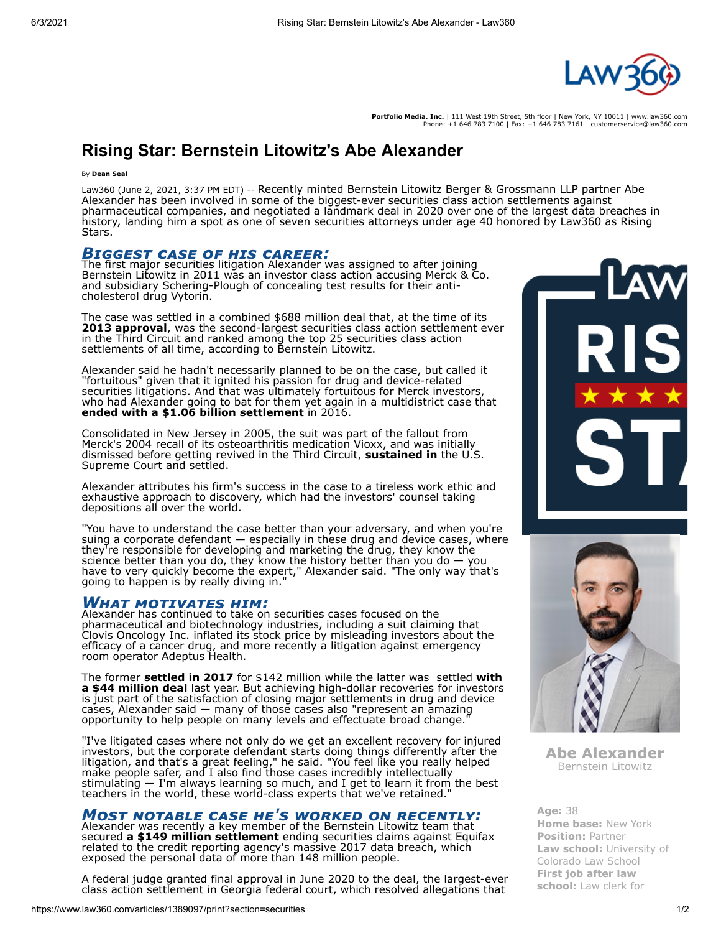

**Portfolio Media. Inc.** | 111 West 19th Street, 5th floor | New York, NY 10011 | www.law360.com Phone: +1 646 783 7100 | Fax: +1 646 783 7161 | customerservice@law360.com

## **Rising Star: Bernstein Litowitz's Abe Alexander**

### By **Dean Seal**

Law360 (June 2, 2021, 3:37 PM EDT) -- Recently minted [Bernstein Litowitz Berger & Grossmann LLP](https://www.law360.com/firms/bernstein-litowitz) partner Abe Alexander has been involved in some of the biggest-ever securities class action settlements against pharmaceutical companies, and negotiated a landmark deal in 2020 over one of the largest data breaches in history, landing him a spot as one of seven securities attorneys under age 40 honored by Law360 as Rising Stars.

*Biggest case of his career:* The first major securities litigation Alexander was assigned to after joining Bernstein Litowitz in 2011 was an investor class action accusing [Merck & Co](https://www.law360.com/companies/merck-co-inc). and subsidiary Schering-Plough of concealing test results for their anticholesterol drug Vytorin.

The case was settled in a combined \$688 million deal that, at the time of its **[2013 approval](https://www.law360.com/articles/477350)**, was the second-largest securities class action settlement ever in the Third Circuit and ranked among the top 25 securities class action settlements of all time, according to Bernstein Litowitz.

Alexander said he hadn't necessarily planned to be on the case, but called it "fortuitous" given that it ignited his passion for drug and device-related securities litigations. And that was ultimately fortuitous for Merck investors, who had Alexander going to bat for them yet again in a multidistrict case that **[ended with a \\$1.06 billion settlement](https://www.law360.com/articles/777284)** in 2016.

Consolidated in New Jersey in 2005, the suit was part of the fallout from Merck's 2004 recall of its osteoarthritis medication Vioxx, and was initially [dismissed before getting revived in the Third Circuit,](https://www.law360.com/agencies/u-s-supreme-court) **[sustained in](http://www.law360.com/articles/136486)** the U.S. Supreme Court and settled.

Alexander attributes his firm's success in the case to a tireless work ethic and exhaustive approach to discovery, which had the investors' counsel taking depositions all over the world.

"You have to understand the case better than your adversary, and when you're suing a corporate defendant — especially in these drug and device cases, where they're responsible for developing and marketing the drug, they know the science better than you do, they know the history better than you do — you have to very quickly become the expert," Alexander said. "The only way that's going to happen is by really diving in."

**WHAT MOTIVATES HIM:**<br>Alexander has continued to take on securities cases focused on the pharmaceutical and biotechnology industries, including a suit claiming that [Clovis Oncology Inc.](https://www.law360.com/companies/clovis-oncology-inc) inflated its stock price by misleading investors about the efficacy of a cancer drug, and more recently a litigation against emergency room operator [Adeptus Health](https://www.law360.com/companies/adeptus-health-inc).

The former **[settled in 2017](https://www.law360.com/articles/937875)** for \$142 million while the latter was settled **with a \$44 million deal** [last year. But achieving high-dollar recoveries for investors](https://www.law360.com/articles/1275677) is just part of the satisfaction of closing major settlements in drug and device cases, Alexander said — many of those cases also "represent an amazing opportunity to help people on many levels and effectuate broad change."

"I've litigated cases where not only do we get an excellent recovery for injured investors, but the corporate defendant starts doing things differently after the litigation, and that's a great feeling," he said. "You feel like you really helped make people safer, and I also find those cases incredibly intellectually stimulating — I'm always learning so much, and I get to learn it from the best teachers in the world, these world-class experts that we've retained."

# *Most notable case he's worked on recently:* Alexander was recently a key member of the Bernstein Litowitz team that

secured **[a \\$149 million settlement](https://www.law360.com/articles/1247297/equifax-investor-suits-get-early-oks-for-149m-33m-deals)** ending securities claims against [Equifax](https://www.law360.com/companies/equifax-inc) related to the credit reporting agency's massive 2017 data breach, which exposed the personal data of more than 148 million people.

A federal judge granted final approval in June 2020 to the deal, the largest-ever class action settlement in Georgia federal court, which resolved allegations that





**Abe Alexander** Bernstein Litowitz

**Age:** 38 **Home base:** New York **Position:** Partner **Law school:** University of Colorado Law School **First job after law school:** Law clerk for